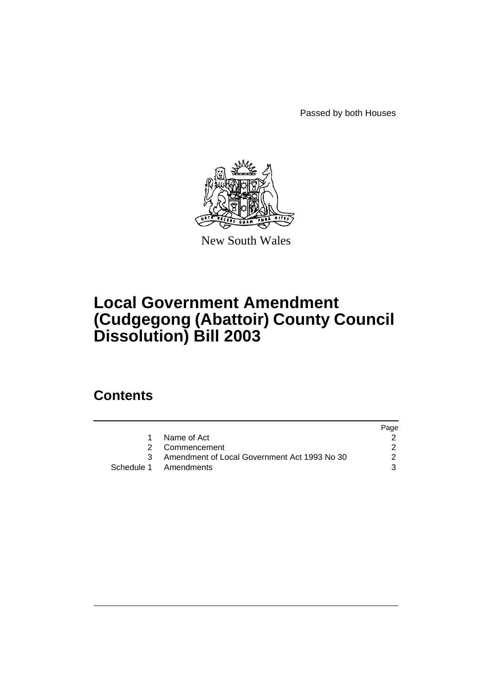Passed by both Houses



New South Wales

# **Local Government Amendment (Cudgegong (Abattoir) County Council Dissolution) Bill 2003**

## **Contents**

|                                                | Page |
|------------------------------------------------|------|
| Name of Act                                    |      |
| 2 Commencement                                 |      |
| 3 Amendment of Local Government Act 1993 No 30 | 2    |
| Schedule 1 Amendments                          | 3    |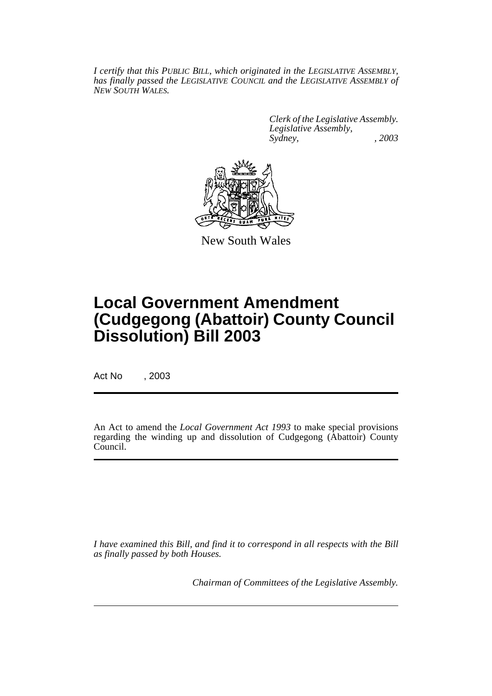*I certify that this PUBLIC BILL, which originated in the LEGISLATIVE ASSEMBLY, has finally passed the LEGISLATIVE COUNCIL and the LEGISLATIVE ASSEMBLY of NEW SOUTH WALES.*

> *Clerk of the Legislative Assembly. Legislative Assembly, Sydney, , 2003*



New South Wales

# **Local Government Amendment (Cudgegong (Abattoir) County Council Dissolution) Bill 2003**

Act No , 2003

An Act to amend the *Local Government Act 1993* to make special provisions regarding the winding up and dissolution of Cudgegong (Abattoir) County Council.

*I have examined this Bill, and find it to correspond in all respects with the Bill as finally passed by both Houses.*

*Chairman of Committees of the Legislative Assembly.*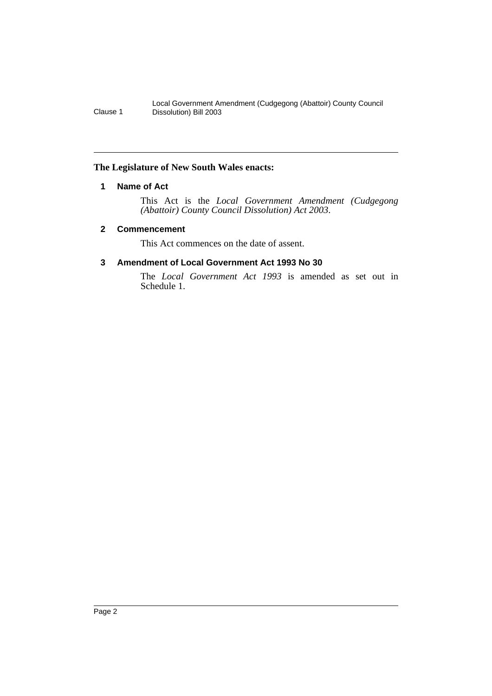## **The Legislature of New South Wales enacts:**

## **1 Name of Act**

This Act is the *Local Government Amendment (Cudgegong (Abattoir) County Council Dissolution) Act 2003*.

### **2 Commencement**

This Act commences on the date of assent.

## **3 Amendment of Local Government Act 1993 No 30**

The *Local Government Act 1993* is amended as set out in Schedule 1.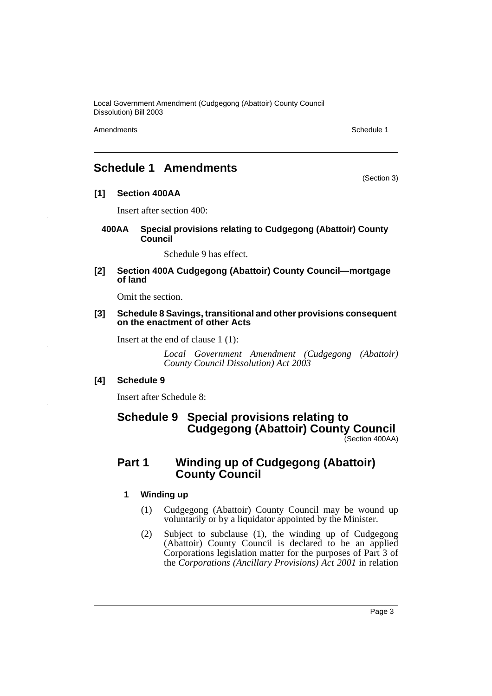Amendments **Schedule 1** and the set of the set of the set of the set of the set of the set of the set of the set of the set of the set of the set of the set of the set of the set of the set of the set of the set of the set

(Section 3)

## **Schedule 1 Amendments**

**[1] Section 400AA**

Insert after section 400:

**400AA Special provisions relating to Cudgegong (Abattoir) County Council**

Schedule 9 has effect.

**[2] Section 400A Cudgegong (Abattoir) County Council—mortgage of land**

Omit the section.

#### **[3] Schedule 8 Savings, transitional and other provisions consequent on the enactment of other Acts**

Insert at the end of clause 1 (1):

*Local Government Amendment (Cudgegong (Abattoir) County Council Dissolution) Act 2003*

## **[4] Schedule 9**

Insert after Schedule 8:

## **Schedule 9 Special provisions relating to Cudgegong (Abattoir) County Council** (Section 400AA)

## **Part 1 Winding up of Cudgegong (Abattoir) County Council**

### **1 Winding up**

- (1) Cudgegong (Abattoir) County Council may be wound up voluntarily or by a liquidator appointed by the Minister.
- (2) Subject to subclause (1), the winding up of Cudgegong (Abattoir) County Council is declared to be an applied Corporations legislation matter for the purposes of Part 3 of the *Corporations (Ancillary Provisions) Act 2001* in relation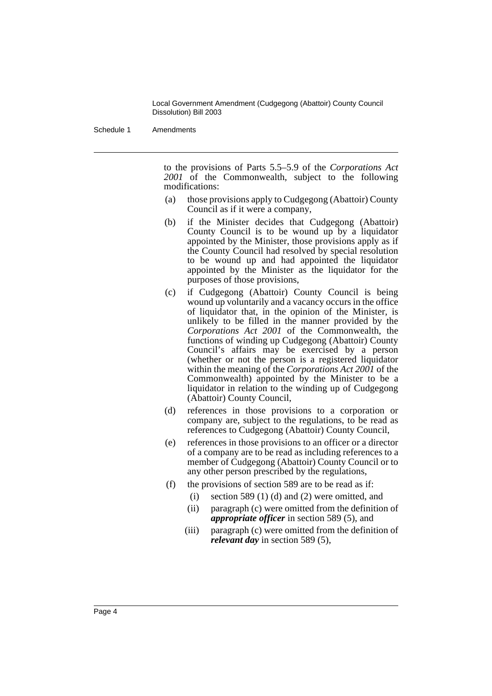Schedule 1 Amendments

to the provisions of Parts 5.5–5.9 of the *Corporations Act 2001* of the Commonwealth, subject to the following modifications:

- (a) those provisions apply to Cudgegong (Abattoir) County Council as if it were a company,
- (b) if the Minister decides that Cudgegong (Abattoir) County Council is to be wound up by a liquidator appointed by the Minister, those provisions apply as if the County Council had resolved by special resolution to be wound up and had appointed the liquidator appointed by the Minister as the liquidator for the purposes of those provisions,
- (c) if Cudgegong (Abattoir) County Council is being wound up voluntarily and a vacancy occurs in the office of liquidator that, in the opinion of the Minister, is unlikely to be filled in the manner provided by the *Corporations Act 2001* of the Commonwealth, the functions of winding up Cudgegong (Abattoir) County Council's affairs may be exercised by a person (whether or not the person is a registered liquidator within the meaning of the *Corporations Act 2001* of the Commonwealth) appointed by the Minister to be a liquidator in relation to the winding up of Cudgegong (Abattoir) County Council,
- (d) references in those provisions to a corporation or company are, subject to the regulations, to be read as references to Cudgegong (Abattoir) County Council,
- (e) references in those provisions to an officer or a director of a company are to be read as including references to a member of Cudgegong (Abattoir) County Council or to any other person prescribed by the regulations,
- (f) the provisions of section 589 are to be read as if:
	- (i) section 589 (1) (d) and (2) were omitted, and
	- (ii) paragraph (c) were omitted from the definition of *appropriate officer* in section 589 (5), and
	- (iii) paragraph (c) were omitted from the definition of *relevant day* in section 589 (5),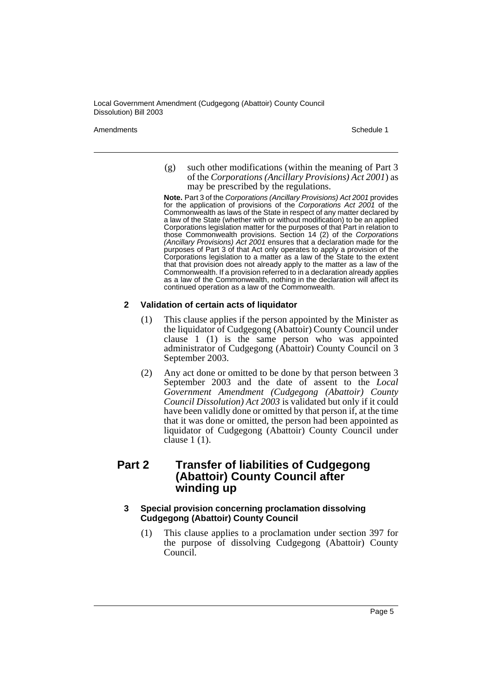Amendments **Schedule 1** and the set of the set of the set of the set of the set of the set of the set of the set of the set of the set of the set of the set of the set of the set of the set of the set of the set of the set

(g) such other modifications (within the meaning of Part 3 of the *Corporations (Ancillary Provisions) Act 2001*) as may be prescribed by the regulations.

**Note.** Part 3 of the Corporations (Ancillary Provisions) Act 2001 provides for the application of provisions of the Corporations Act 2001 of the Commonwealth as laws of the State in respect of any matter declared by a law of the State (whether with or without modification) to be an applied Corporations legislation matter for the purposes of that Part in relation to those Commonwealth provisions. Section 14 (2) of the Corporations (Ancillary Provisions) Act 2001 ensures that a declaration made for the purposes of Part 3 of that Act only operates to apply a provision of the Corporations legislation to a matter as a law of the State to the extent that that provision does not already apply to the matter as a law of the Commonwealth. If a provision referred to in a declaration already applies as a law of the Commonwealth, nothing in the declaration will affect its continued operation as a law of the Commonwealth.

## **2 Validation of certain acts of liquidator**

- (1) This clause applies if the person appointed by the Minister as the liquidator of Cudgegong (Abattoir) County Council under clause 1 (1) is the same person who was appointed administrator of Cudgegong (Abattoir) County Council on 3 September 2003.
- (2) Any act done or omitted to be done by that person between 3 September 2003 and the date of assent to the *Local Government Amendment (Cudgegong (Abattoir) County Council Dissolution) Act 2003* is validated but only if it could have been validly done or omitted by that person if, at the time that it was done or omitted, the person had been appointed as liquidator of Cudgegong (Abattoir) County Council under clause 1 (1).

## **Part 2 Transfer of liabilities of Cudgegong (Abattoir) County Council after winding up**

### **3 Special provision concerning proclamation dissolving Cudgegong (Abattoir) County Council**

(1) This clause applies to a proclamation under section 397 for the purpose of dissolving Cudgegong (Abattoir) County Council.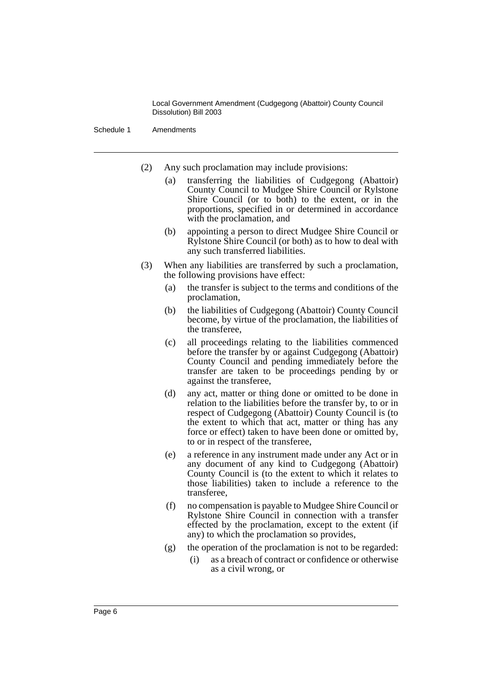Schedule 1 Amendments

- (2) Any such proclamation may include provisions:
	- (a) transferring the liabilities of Cudgegong (Abattoir) County Council to Mudgee Shire Council or Rylstone Shire Council (or to both) to the extent, or in the proportions, specified in or determined in accordance with the proclamation, and
	- (b) appointing a person to direct Mudgee Shire Council or Rylstone Shire Council (or both) as to how to deal with any such transferred liabilities.
- (3) When any liabilities are transferred by such a proclamation, the following provisions have effect:
	- (a) the transfer is subject to the terms and conditions of the proclamation,
	- (b) the liabilities of Cudgegong (Abattoir) County Council become, by virtue of the proclamation, the liabilities of the transferee,
	- (c) all proceedings relating to the liabilities commenced before the transfer by or against Cudgegong (Abattoir) County Council and pending immediately before the transfer are taken to be proceedings pending by or against the transferee,
	- (d) any act, matter or thing done or omitted to be done in relation to the liabilities before the transfer by, to or in respect of Cudgegong (Abattoir) County Council is (to the extent to which that act, matter or thing has any force or effect) taken to have been done or omitted by, to or in respect of the transferee,
	- (e) a reference in any instrument made under any Act or in any document of any kind to Cudgegong (Abattoir) County Council is (to the extent to which it relates to those liabilities) taken to include a reference to the transferee,
	- (f) no compensation is payable to Mudgee Shire Council or Rylstone Shire Council in connection with a transfer effected by the proclamation, except to the extent (if any) to which the proclamation so provides,
	- (g) the operation of the proclamation is not to be regarded:
		- (i) as a breach of contract or confidence or otherwise as a civil wrong, or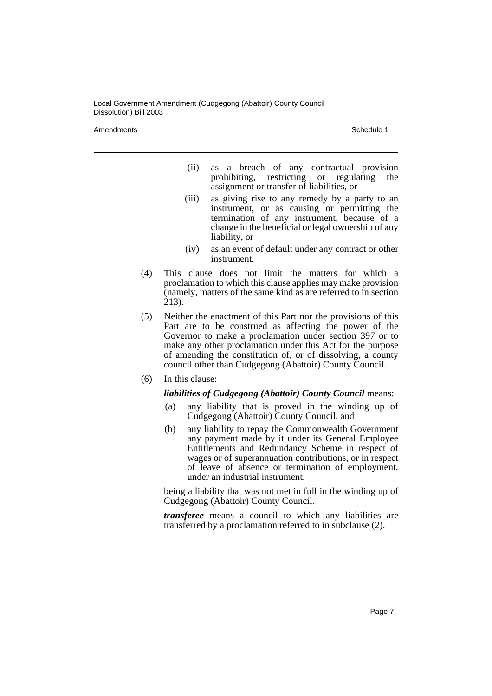Amendments **Schedule 1** and the set of the set of the set of the set of the set of the set of the set of the set of the set of the set of the set of the set of the set of the set of the set of the set of the set of the set

- (ii) as a breach of any contractual provision prohibiting, restricting or regulating the assignment or transfer of liabilities, or
- (iii) as giving rise to any remedy by a party to an instrument, or as causing or permitting the termination of any instrument, because of a change in the beneficial or legal ownership of any liability, or
- (iv) as an event of default under any contract or other instrument.
- (4) This clause does not limit the matters for which a proclamation to which this clause applies may make provision (namely, matters of the same kind as are referred to in section 213).
- (5) Neither the enactment of this Part nor the provisions of this Part are to be construed as affecting the power of the Governor to make a proclamation under section 397 or to make any other proclamation under this Act for the purpose of amending the constitution of, or of dissolving, a county council other than Cudgegong (Abattoir) County Council.
- (6) In this clause:

### *liabilities of Cudgegong (Abattoir) County Council* means:

- (a) any liability that is proved in the winding up of Cudgegong (Abattoir) County Council, and
- (b) any liability to repay the Commonwealth Government any payment made by it under its General Employee Entitlements and Redundancy Scheme in respect of wages or of superannuation contributions, or in respect of leave of absence or termination of employment, under an industrial instrument,

being a liability that was not met in full in the winding up of Cudgegong (Abattoir) County Council.

*transferee* means a council to which any liabilities are transferred by a proclamation referred to in subclause (2).